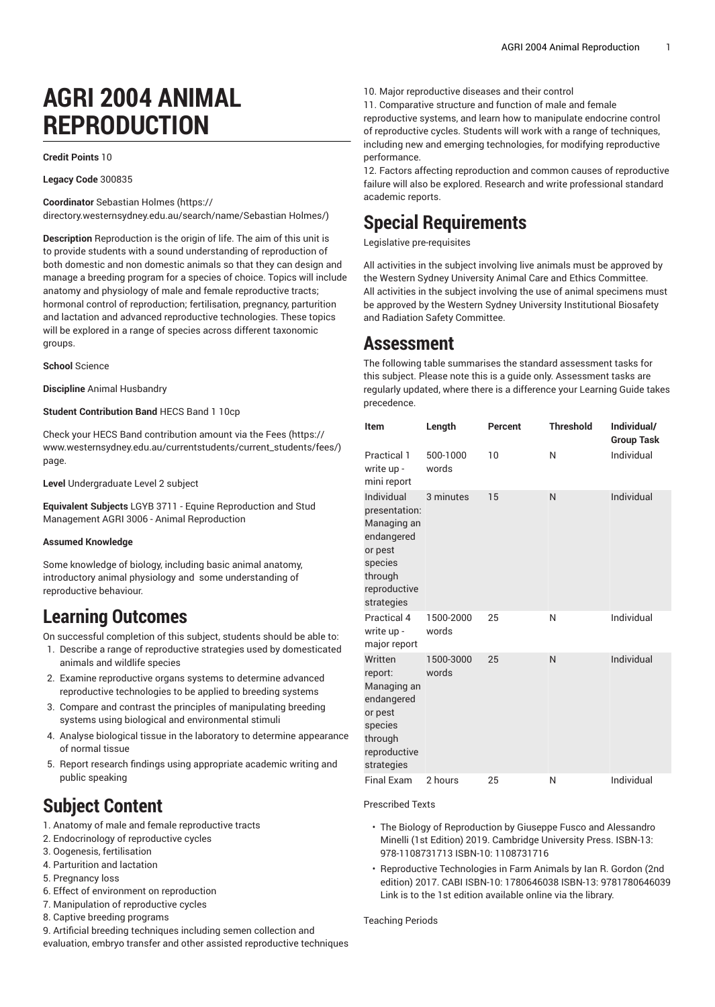# **AGRI 2004 ANIMAL REPRODUCTION**

**Credit Points** 10

**Legacy Code** 300835

**Coordinator** [Sebastian Holmes](https://directory.westernsydney.edu.au/search/name/Sebastian Holmes/) ([https://](https://directory.westernsydney.edu.au/search/name/Sebastian Holmes/)

[directory.westernsydney.edu.au/search/name/Sebastian](https://directory.westernsydney.edu.au/search/name/Sebastian Holmes/) Holmes/)

**Description** Reproduction is the origin of life. The aim of this unit is to provide students with a sound understanding of reproduction of both domestic and non domestic animals so that they can design and manage a breeding program for a species of choice. Topics will include anatomy and physiology of male and female reproductive tracts; hormonal control of reproduction; fertilisation, pregnancy, parturition and lactation and advanced reproductive technologies. These topics will be explored in a range of species across different taxonomic groups.

**School** Science

**Discipline** Animal Husbandry

**Student Contribution Band** HECS Band 1 10cp

Check your HECS Band contribution amount via the [Fees \(https://](https://www.westernsydney.edu.au/currentstudents/current_students/fees/) [www.westernsydney.edu.au/currentstudents/current\\_students/fees/\)](https://www.westernsydney.edu.au/currentstudents/current_students/fees/) page.

**Level** Undergraduate Level 2 subject

**Equivalent Subjects** LGYB 3711 - Equine Reproduction and Stud Management AGRI 3006 - Animal Reproduction

#### **Assumed Knowledge**

Some knowledge of biology, including basic animal anatomy, introductory animal physiology and some understanding of reproductive behaviour.

#### **Learning Outcomes**

On successful completion of this subject, students should be able to:

- 1. Describe a range of reproductive strategies used by domesticated animals and wildlife species
- 2. Examine reproductive organs systems to determine advanced reproductive technologies to be applied to breeding systems
- 3. Compare and contrast the principles of manipulating breeding systems using biological and environmental stimuli
- 4. Analyse biological tissue in the laboratory to determine appearance of normal tissue
- 5. Report research findings using appropriate academic writing and public speaking

### **Subject Content**

- 1. Anatomy of male and female reproductive tracts
- 2. Endocrinology of reproductive cycles
- 3. Oogenesis, fertilisation
- 4. Parturition and lactation
- 5. Pregnancy loss
- 6. Effect of environment on reproduction
- 7. Manipulation of reproductive cycles
- 8. Captive breeding programs

9. Artificial breeding techniques including semen collection and evaluation, embryo transfer and other assisted reproductive techniques 10. Major reproductive diseases and their control

11. Comparative structure and function of male and female reproductive systems, and learn how to manipulate endocrine control of reproductive cycles. Students will work with a range of techniques, including new and emerging technologies, for modifying reproductive performance.

12. Factors affecting reproduction and common causes of reproductive failure will also be explored. Research and write professional standard academic reports.

#### **Special Requirements**

Legislative pre-requisites

All activities in the subject involving live animals must be approved by the Western Sydney University Animal Care and Ethics Committee. All activities in the subject involving the use of animal specimens must be approved by the Western Sydney University Institutional Biosafety and Radiation Safety Committee.

#### **Assessment**

The following table summarises the standard assessment tasks for this subject. Please note this is a guide only. Assessment tasks are regularly updated, where there is a difference your Learning Guide takes precedence.

| <b>Item</b>                                                                                                             | Length             | Percent | <b>Threshold</b> | Individual/<br><b>Group Task</b> |
|-------------------------------------------------------------------------------------------------------------------------|--------------------|---------|------------------|----------------------------------|
| Practical 1<br>write up -<br>mini report                                                                                | 500-1000<br>words  | 10      | N                | Individual                       |
| Individual<br>presentation:<br>Managing an<br>endangered<br>or pest<br>species<br>through<br>reproductive<br>strategies | 3 minutes          | 15      | N                | Individual                       |
| Practical 4<br>write up -<br>major report                                                                               | 1500-2000<br>words | 25      | N                | Individual                       |
| Written<br>report:<br>Managing an<br>endangered<br>or pest<br>species<br>through<br>reproductive<br>strategies          | 1500-3000<br>words | 25      | N                | Individual                       |
| Final Exam                                                                                                              | 2 hours            | 25      | N                | Individual                       |

Prescribed Texts

- The Biology of Reproduction by Giuseppe Fusco and Alessandro Minelli (1st Edition) 2019. Cambridge University Press. ISBN-13: 978-1108731713 ISBN-10: 1108731716
- Reproductive Technologies in Farm Animals by Ian R. Gordon (2nd edition) 2017. CABI ISBN-10: 1780646038 ISBN-13: 9781780646039 Link is to the 1st edition available online via the library.

Teaching Periods